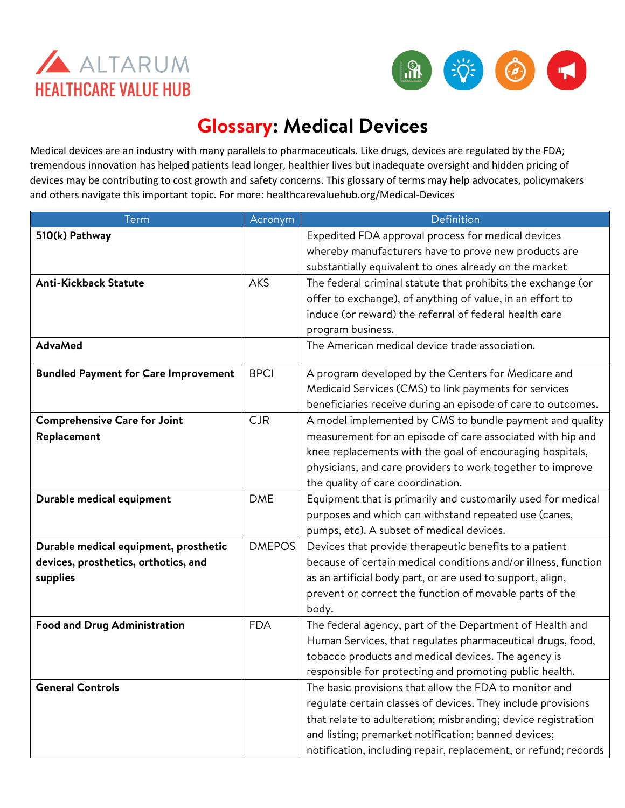



## **Glossary: Medical Devices**

Medical devices are an industry with many parallels to pharmaceuticals. Like drugs, devices are regulated by the FDA; tremendous innovation has helped patients lead longer, healthier lives but inadequate oversight and hidden pricing of devices may be contributing to cost growth and safety concerns. This glossary of terms may help advocates, policymakers and others navigate this important topic. For more: healthcarevaluehub.org/Medical-Devices

| Term                                        | Acronym       | Definition                                                      |
|---------------------------------------------|---------------|-----------------------------------------------------------------|
| 510(k) Pathway                              |               | Expedited FDA approval process for medical devices              |
|                                             |               | whereby manufacturers have to prove new products are            |
|                                             |               | substantially equivalent to ones already on the market          |
| <b>Anti-Kickback Statute</b>                | <b>AKS</b>    | The federal criminal statute that prohibits the exchange (or    |
|                                             |               | offer to exchange), of anything of value, in an effort to       |
|                                             |               | induce (or reward) the referral of federal health care          |
|                                             |               | program business.                                               |
| <b>AdvaMed</b>                              |               | The American medical device trade association.                  |
| <b>Bundled Payment for Care Improvement</b> | <b>BPCI</b>   | A program developed by the Centers for Medicare and             |
|                                             |               | Medicaid Services (CMS) to link payments for services           |
|                                             |               | beneficiaries receive during an episode of care to outcomes.    |
| <b>Comprehensive Care for Joint</b>         | <b>CJR</b>    | A model implemented by CMS to bundle payment and quality        |
| Replacement                                 |               | measurement for an episode of care associated with hip and      |
|                                             |               | knee replacements with the goal of encouraging hospitals,       |
|                                             |               | physicians, and care providers to work together to improve      |
|                                             |               | the quality of care coordination.                               |
| Durable medical equipment                   | <b>DME</b>    | Equipment that is primarily and customarily used for medical    |
|                                             |               | purposes and which can withstand repeated use (canes,           |
|                                             |               | pumps, etc). A subset of medical devices.                       |
| Durable medical equipment, prosthetic       | <b>DMEPOS</b> | Devices that provide therapeutic benefits to a patient          |
| devices, prosthetics, orthotics, and        |               | because of certain medical conditions and/or illness, function  |
| supplies                                    |               | as an artificial body part, or are used to support, align,      |
|                                             |               | prevent or correct the function of movable parts of the         |
|                                             |               | body.                                                           |
| <b>Food and Drug Administration</b>         | <b>FDA</b>    | The federal agency, part of the Department of Health and        |
|                                             |               | Human Services, that regulates pharmaceutical drugs, food,      |
|                                             |               | tobacco products and medical devices. The agency is             |
|                                             |               | responsible for protecting and promoting public health.         |
| <b>General Controls</b>                     |               | The basic provisions that allow the FDA to monitor and          |
|                                             |               | regulate certain classes of devices. They include provisions    |
|                                             |               | that relate to adulteration; misbranding; device registration   |
|                                             |               | and listing; premarket notification; banned devices;            |
|                                             |               | notification, including repair, replacement, or refund; records |